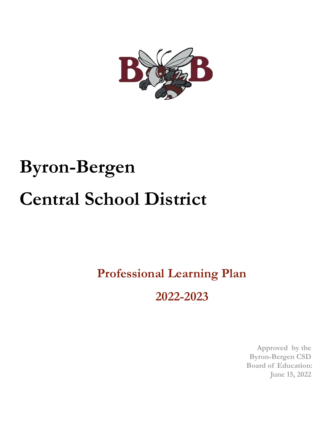

# **Byron-Bergen Central School District**

# **Professional Learning Plan**

**2022-2023**

**Approved by the Byron-Bergen CSD Board of Education: June 15, 2022**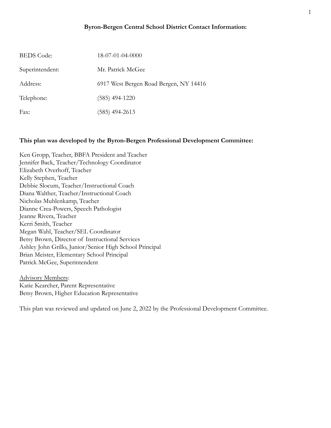#### **Byron-Bergen Central School District Contact Information:**

| <b>BEDS</b> Code: | $18-07-01-04-0000$                     |
|-------------------|----------------------------------------|
| Superintendent:   | Mr. Patrick McGee                      |
| Address:          | 6917 West Bergen Road Bergen, NY 14416 |
| Telephone:        | $(585)$ 494-1220                       |
| Fax:              | (585) 494-2613                         |

#### **This plan was developed by the Byron-Bergen Professional Development Committee:**

Ken Gropp, Teacher, BBFA President and Teacher Jennifer Back, Teacher/Technology Coordinator Elizabeth Overhoff, Teacher Kelly Stephen, Teacher Debbie Slocum, Teacher/Instructional Coach Diana Walther, Teacher/Instructional Coach Nicholas Muhlenkamp, Teacher Dianne Crea-Powers, Speech Pathologist Jeanne Rivera, Teacher Kerri Smith, Teacher Megan Wahl, Teacher/SEL Coordinator Betsy Brown, Director of Instructional Services Ashley John Grillo, Junior/Senior High School Principal Brian Meister, Elementary School Principal Patrick McGee, Superintendent

Advisory Members: Katie Kearcher, Parent Representative Betsy Brown, Higher Education Representative

This plan was reviewed and updated on June 2, 2022 by the Professional Development Committee.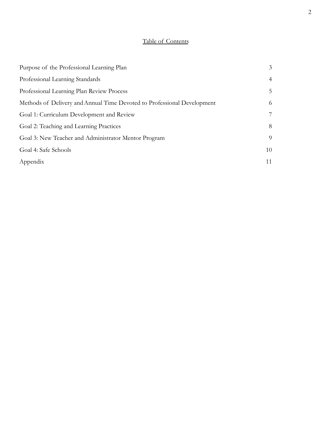# Table of Contents

| Purpose of the Professional Learning Plan                               |                |
|-------------------------------------------------------------------------|----------------|
| Professional Learning Standards                                         | $\overline{4}$ |
| Professional Learning Plan Review Process                               | 5              |
| Methods of Delivery and Annual Time Devoted to Professional Development | 6              |
| Goal 1: Curriculum Development and Review                               | 7              |
| Goal 2: Teaching and Learning Practices                                 | 8              |
| Goal 3: New Teacher and Administrator Mentor Program                    | 9              |
| Goal 4: Safe Schools                                                    | 10             |
| Appendix                                                                | 11             |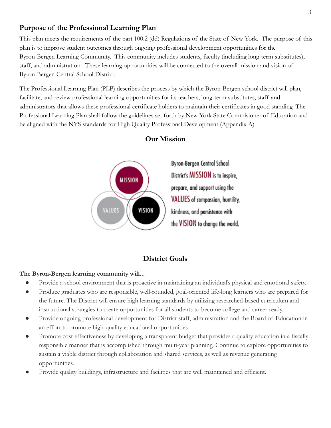# <span id="page-3-0"></span>**Purpose of the Professional Learning Plan**

This plan meets the requirements of the part 100.2 (dd) Regulations of the State of New York. The purpose of this plan is to improve student outcomes through ongoing professional development opportunities for the Byron-Bergen Learning Community. This community includes students, faculty (including long-term substitutes), staff, and administration. These learning opportunities will be connected to the overall mission and vision of Byron-Bergen Central School District.

The Professional Learning Plan (PLP) describes the process by which the Byron-Bergen school district will plan, facilitate, and review professional learning opportunities for its teachers, long-term substitutes, staff and administrators that allows these professional certificate holders to maintain their certificates in good standing. The Professional Learning Plan shall follow the guidelines set forth by New York State Commisioner of Education and be aligned with the NYS standards for High Quality Professional Development (Appendix A)



### **Our Mission**

# **District Goals**

#### **The Byron-Bergen learning community will...**

- Provide a school environment that is proactive in maintaining an individual's physical and emotional safety.
- Produce graduates who are responsible, well-rounded, goal-oriented life-long learners who are prepared for the future. The District will ensure high learning standards by utilizing researched-based curriculum and instructional strategies to create opportunities for all students to become college and career ready.
- Provide ongoing professional development for District staff, administration and the Board of Education in an effort to promote high-quality educational opportunities.
- Promote cost effectiveness by developing a transparent budget that provides a quality education in a fiscally responsible manner that is accomplished through multi-year planning. Continue to explore opportunities to sustain a viable district through collaboration and shared services, as well as revenue generating opportunities.
- Provide quality buildings, infrastructure and facilities that are well maintained and efficient.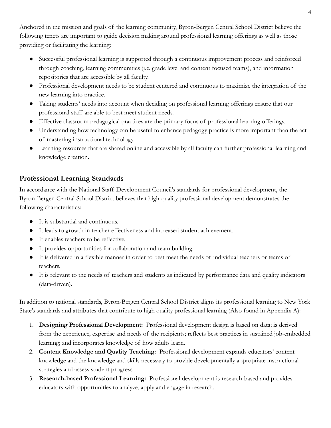Anchored in the mission and goals of the learning community, Byron-Bergen Central School District believe the following tenets are important to guide decision making around professional learning offerings as well as those providing or facilitating the learning:

- Successful professional learning is supported through a continuous improvement process and reinforced through coaching, learning communities (i.e. grade level and content focused teams), and information repositories that are accessible by all faculty.
- Professional development needs to be student centered and continuous to maximize the integration of the new learning into practice.
- Taking students' needs into account when deciding on professional learning offerings ensure that our professional staff are able to best meet student needs.
- Effective classroom pedagogical practices are the primary focus of professional learning offerings.
- Understanding how technology can be useful to enhance pedagogy practice is more important than the act of mastering instructional technology.
- Learning resources that are shared online and accessible by all faculty can further professional learning and knowledge creation.

# **Professional Learning Standards**

In accordance with the National Staff Development Council's standards for professional development, the Byron-Bergen Central School District believes that high-quality professional development demonstrates the following characteristics:

- It is substantial and continuous.
- It leads to growth in teacher effectiveness and increased student achievement.
- It enables teachers to be reflective.
- It provides opportunities for collaboration and team building.
- It is delivered in a flexible manner in order to best meet the needs of individual teachers or teams of teachers.
- It is relevant to the needs of teachers and students as indicated by performance data and quality indicators (data-driven).

In addition to national standards, Byron-Bergen Central School District aligns its professional learning to New York State's standards and attributes that contribute to high quality professional learning (Also found in Appendix A):

- 1. **Designing Professional Development:** Professional development design is based on data; is derived from the experience, expertise and needs of the recipients; reflects best practices in sustained job-embedded learning; and incorporates knowledge of how adults learn.
- 2. **Content Knowledge and Quality Teaching:** Professional development expands educators' content knowledge and the knowledge and skills necessary to provide developmentally appropriate instructional strategies and assess student progress.
- 3. **Research-based Professional Learning:** Professional development is research-based and provides educators with opportunities to analyze, apply and engage in research.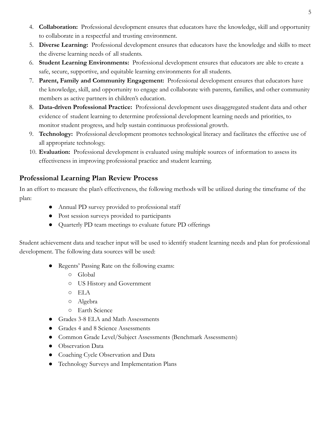- 4. **Collaboration:** Professional development ensures that educators have the knowledge, skill and opportunity to collaborate in a respectful and trusting environment.
- 5. **Diverse Learning:** Professional development ensures that educators have the knowledge and skills to meet the diverse learning needs of all students.
- 6. **Student Learning Environments:** Professional development ensures that educators are able to create a safe, secure, supportive, and equitable learning environments for all students.
- 7. **Parent, Family and Community Engagement:** Professional development ensures that educators have the knowledge, skill, and opportunity to engage and collaborate with parents, families, and other community members as active partners in children's education.
- 8. **Data-driven Professional Practice:** Professional development uses disaggregated student data and other evidence of student learning to determine professional development learning needs and priorities, to monitor student progress, and help sustain continuous professional growth.
- 9. **Technology:** Professional development promotes technological literacy and facilitates the effective use of all appropriate technology.
- 10. **Evaluation:** Professional development is evaluated using multiple sources of information to assess its effectiveness in improving professional practice and student learning.

# <span id="page-5-0"></span>**Professional Learning Plan Review Process**

In an effort to measure the plan's effectiveness, the following methods will be utilized during the timeframe of the plan:

- Annual PD survey provided to professional staff
- Post session surveys provided to participants
- Quarterly PD team meetings to evaluate future PD offerings

Student achievement data and teacher input will be used to identify student learning needs and plan for professional development. The following data sources will be used:

- Regents' Passing Rate on the following exams:
	- Global
	- US History and Government
	- ELA
	- Algebra
	- Earth Science
- Grades 3-8 ELA and Math Assessments
- Grades 4 and 8 Science Assessments
- Common Grade Level/Subject Assessments (Benchmark Assessments)
- Observation Data
- Coaching Cycle Observation and Data
- Technology Surveys and Implementation Plans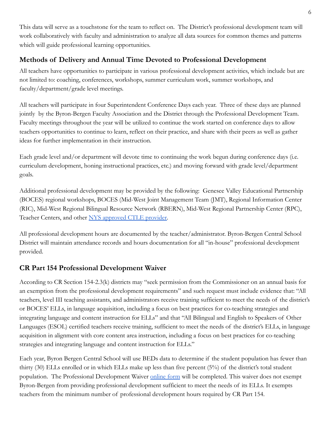This data will serve as a touchstone for the team to reflect on. The District's professional development team will work collaboratively with faculty and administration to analyze all data sources for common themes and patterns which will guide professional learning opportunities.

# <span id="page-6-0"></span>**Methods of Delivery and Annual Time Devoted to Professional Development**

All teachers have opportunities to participate in various professional development activities, which include but are not limited to: coaching, conferences, workshops, summer curriculum work, summer workshops, and faculty/department/grade level meetings.

All teachers will participate in four Superintendent Conference Days each year. Three of these days are planned jointly by the Byron-Bergen Faculty Association and the District through the Professional Development Team. Faculty meetings throughout the year will be utilized to continue the work started on conference days to allow teachers opportunities to continue to learn, reflect on their practice, and share with their peers as well as gather ideas for further implementation in their instruction.

Each grade level and/or department will devote time to continuing the work begun during conference days (i.e. curriculum development, honing instructional practices, etc.) and moving forward with grade level/department goals.

Additional professional development may be provided by the following: Genesee Valley Educational Partnership (BOCES) regional workshops, BOCES (Mid-West Joint Management Team (JMT), Regional Information Center (RIC), Mid-West Regional Bilingual Resource Network (RBERN), Mid-West Regional Partnership Center (RPC), Teacher Centers, and other [NYS approved CTLE provider.](http://www.highered.nysed.gov/tcert/resteachers/ctlesponsors.html)

All professional development hours are documented by the teacher/administrator. Byron-Bergen Central School District will maintain attendance records and hours documentation for all "in-house" professional development provided.

# **CR Part 154 Professional Development Waiver**

According to CR Section 154-2.3(k) districts may "seek permission from the Commissioner on an annual basis for an exemption from the professional development requirements" and such request must include evidence that: "All teachers, level III teaching assistants, and administrators receive training sufficient to meet the needs of the district's or BOCES' ELLs, in language acquisition, including a focus on best practices for co-teaching strategies and integrating language and content instruction for ELLs" and that "All Bilingual and English to Speakers of Other Languages (ESOL) certified teachers receive training, sufficient to meet the needs of the district's ELLs, in language acquisition in alignment with core content area instruction, including a focus on best practices for co-teaching strategies and integrating language and content instruction for ELLs."

Each year, Byron Bergen Central School will use BEDs data to determine if the student population has fewer than thirty (30) ELLs enrolled or in which ELLs make up less than five percent (5%) of the district's total student population. The Professional Development Waiver [online](https://forms.office.com/Pages/ResponsePage.aspx?id=6BbvFeBMw0-S4mp6bI52XhzNxVUvjbZImYfHcnATVCtUM0ZYT0dZUTc1Sk5YT1I1WTg3V1JGODJROCQlQCN0PWcu) form will be completed. This waiver does not exempt Byron-Bergen from providing professional development sufficient to meet the needs of its ELLs. It exempts teachers from the minimum number of professional development hours required by CR Part 154.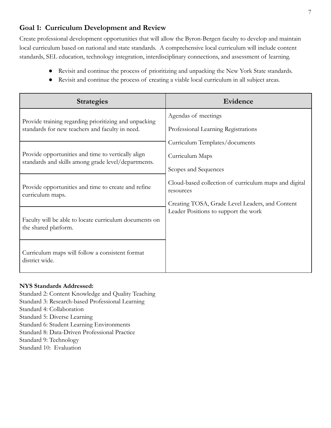# **Goal 1: Curriculum Development and Review**

Create professional development opportunities that will allow the Byron-Bergen faculty to develop and maintain local curriculum based on national and state standards. A comprehensive local curriculum will include content standards, SEL education, technology integration, interdisciplinary connections, and assessment of learning.

- Revisit and continue the process of prioritizing and unpacking the New York State standards.
- Revisit and continue the process of creating a viable local curriculum in all subject areas.

| <b>Strategies</b>                                                                                         | Evidence                                                           |
|-----------------------------------------------------------------------------------------------------------|--------------------------------------------------------------------|
| Provide training regarding prioritizing and unpacking                                                     | Agendas of meetings                                                |
| standards for new teachers and faculty in need.                                                           | Professional Learning Registrations                                |
|                                                                                                           | Curriculum Templates/documents                                     |
| Provide opportunities and time to vertically align<br>standards and skills among grade level/departments. | Curriculum Maps                                                    |
|                                                                                                           | Scopes and Sequences                                               |
| Provide opportunities and time to create and refine<br>curriculum maps.                                   | Cloud-based collection of curriculum maps and digital<br>resources |
|                                                                                                           | Creating TOSA, Grade Level Leaders, and Content                    |
| Faculty will be able to locate curriculum documents on<br>the shared platform.                            | Leader Positions to support the work                               |
| Curriculum maps will follow a consistent format<br>district wide.                                         |                                                                    |

#### **NYS Standards Addressed:**

- Standard 2: Content Knowledge and Quality Teaching
- Standard 3: Research-based Professional Learning
- Standard 4: Collaboration
- Standard 5: Diverse Learning
- Standard 6: Student Learning Environments
- Standard 8: Data-Driven Professional Practice
- Standard 9: Technology
- <span id="page-7-0"></span>Standard 10: Evaluation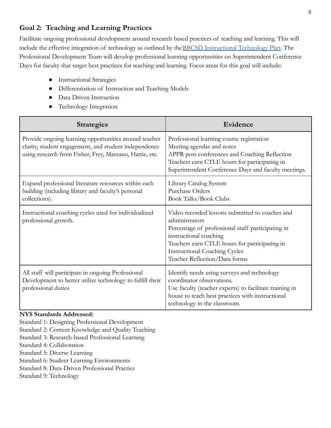# **Goal 2: Teaching and Learning Practices**

Facilitate ongoing professional development around research based practices of teaching and learning. This will include the effective integration of technology as outlined by the **BBCSD** Instructional Technology Plan. The Professional Development Team will develop professional learning opportunities on Superintendent Conference Days for faculty that target best practices for teaching and learning. Focus areas for this goal will include:

- Instructional Strategies
- Differentiation of Instruction and Teaching Models
- Data Driven Instruction
- Technology Integration

| <b>Strategies</b>                                                                                                                                                         | Evidence                                                                                                                                                                                                                                                                   |
|---------------------------------------------------------------------------------------------------------------------------------------------------------------------------|----------------------------------------------------------------------------------------------------------------------------------------------------------------------------------------------------------------------------------------------------------------------------|
| Provide ongoing learning opportunities around teacher<br>clarity, student engagement, and student independence<br>using research from Fisher, Frey, Marzano, Hattie, etc. | Professional learning course registration<br>Meeting agendas and notes<br>APPR post conferences and Coaching Reflection<br>Teachers earn CTLE hours for participating in<br>Superintendent Conference Days and faculty meetings.                                           |
| Expand professional literature resources within each<br>building (including library and faculty's personal<br>collections).                                               | Library Catalog System<br>Purchase Orders<br><b>Book Talks/Book Clubs</b>                                                                                                                                                                                                  |
| Instructional coaching cycles used for individualized<br>professional growth.                                                                                             | Video recorded lessons submitted to coaches and<br>administrators<br>Percentage of professional staff participating in<br>instructional coaching<br>Teachers earn CTLE hours for participating in<br><b>Instructional Coaching Cycles</b><br>Teacher Reflection/Data forms |
| All staff will participate in ongoing Professional<br>Development to better utilize technology to fulfill their<br>professional duties                                    | Identify needs using surveys and technology<br>coordinator observations.<br>Use faculty (teacher experts) to facilitate training in<br>house to teach best practices with instructional<br>technology in the classroom.                                                    |

#### **NYS Standards Addressed:**

- Standard 1: Designing Professional Development
- Standard 2: Content Knowledge and Quality Teaching
- Standard 3: Research-based Professional Learning
- Standard 4: Collaboration
- Standard 5: Diverse Learning
- Standard 6: Student Learning Environments
- Standard 8: Data-Driven Professional Practice
- Standard 9: Technology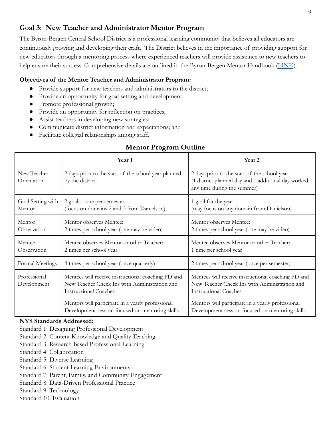# **Goal 3: New Teacher and Administrator Mentor Program**

The Byron-Bergen Central School District is a professional learning community that believes all educators are continuously growing and developing their craft. The District believes in the importance of providing support for new educators through a mentoring process where experienced teachers will provide assistance to new teachers to help ensure their success. Comprehensive details are outlined in the Byron-Bergen Mentor Handbook [\(LINK](https://drive.google.com/file/d/1WZchKr3NhqfX6kqt41NB28zgFdAtkyy9/view?usp=sharing)).

#### **Objectives of the Mentor Teacher and Administrator Program:**

- Provide support for new teachers and administrators to the district;
- Provide an opportunity for goal setting and development;
- Promote professional growth;
- Provide an opportunity for reflection on practices;
- Assist teachers in developing new strategies;
- Communicate district information and expectations; and
- Facilitate collegial relationships among staff.

# **Mentor Program Outline**

|                             | Year 1                                                                                                                              | Year <sub>2</sub>                                                                                                                   |
|-----------------------------|-------------------------------------------------------------------------------------------------------------------------------------|-------------------------------------------------------------------------------------------------------------------------------------|
| New Teacher<br>Orientation  | 2 days prior to the start of the school year planned<br>by the district.                                                            | 2 days prior to the start of the school year<br>(1 district planned day and 1 additional day worked<br>any time during the summer)  |
| Goal Setting with<br>Mentor | 2 goals - one per semester<br>(focus on domains 2 and 3 from Danielson)                                                             | 1 goal for the year<br>(may focus on any domain from Danielson)                                                                     |
| Mentor<br>Observation       | Mentor observes Mentee:<br>2 times per school year (one may be video)                                                               | Mentor observes Mentee:<br>2 times per school year (one may be video)                                                               |
| Mentee<br>Observation       | Mentee observes Mentor or other Teacher:<br>2 times per school year                                                                 | Mentee observes Mentor or other Teacher:<br>1 time per school year                                                                  |
| Formal Meetings             | 4 times per school year (once quarterly)                                                                                            | 2 times per school year (once per semester)                                                                                         |
| Professional<br>Development | Mentees will receive instructional coaching PD and<br>New Teacher Check Ins with Administration and<br><b>Instructional Coaches</b> | Mentees will receive instructional coaching PD and<br>New Teacher Check Ins with Administration and<br><b>Instructional Coaches</b> |
|                             | Mentors will participate in a yearly professional<br>Development session focused on mentoring skills.                               | Mentors will participate in a yearly professional<br>Development session focused on mentoring skills.                               |

#### **NYS Standards Addressed:**

- Standard 1: Designing Professional Development
- Standard 2: Content Knowledge and Quality Teaching
- Standard 3: Research-based Professional Learning
- Standard 4: Collaboration
- Standard 5: Diverse Learning
- Standard 6: Student Learning Environments
- Standard 7: Parent, Family, and Community Engagement
- Standard 8: Data-Driven Professional Practice
- Standard 9: Technology
- Standard 10: Evaluation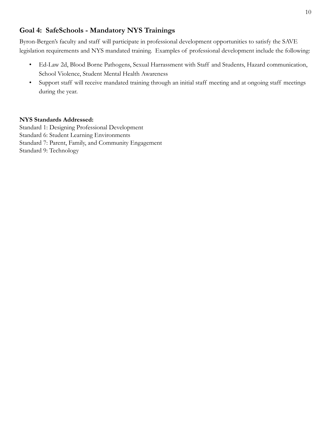# **Goal 4: SafeSchools - Mandatory NYS Trainings**

Byron-Bergen's faculty and staff will participate in professional development opportunities to satisfy the SAVE legislation requirements and NYS mandated training. Examples of professional development include the following:

- Ed-Law 2d, Blood Borne Pathogens, Sexual Harrassment with Staff and Students, Hazard communication, School Violence, Student Mental Health Awareness
- Support staff will receive mandated training through an initial staff meeting and at ongoing staff meetings during the year.

#### **NYS Standards Addressed:**

Standard 1: Designing Professional Development Standard 6: Student Learning Environments Standard 7: Parent, Family, and Community Engagement Standard 9: Technology